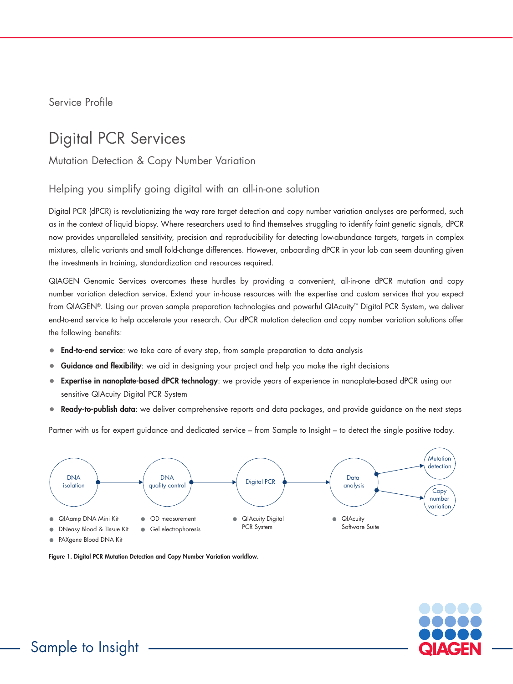Service Profile

## Digital PCR Services

Mutation Detection & Copy Number Variation

#### Helping you simplify going digital with an all-in-one solution

Digital PCR (dPCR) is revolutionizing the way rare target detection and copy number variation analyses are performed, such as in the context of liquid biopsy. Where researchers used to find themselves struggling to identify faint genetic signals, dPCR now provides unparalleled sensitivity, precision and reproducibility for detecting low-abundance targets, targets in complex mixtures, allelic variants and small fold-change differences. However, onboarding dPCR in your lab can seem daunting given the investments in training, standardization and resources required.

QIAGEN Genomic Services overcomes these hurdles by providing a convenient, all-in-one dPCR mutation and copy number variation detection service. Extend your in-house resources with the expertise and custom services that you expect from QIAGEN®. Using our proven sample preparation technologies and powerful QIAcuity™ Digital PCR System, we deliver end-to-end service to help accelerate your research. Our dPCR mutation detection and copy number variation solutions offer the following benefits:

- **End-to-end service**: we take care of every step, from sample preparation to data analysis
- **Guidance and flexibility**: we aid in designing your project and help you make the right decisions
- Expertise in nanoplate-based dPCR technology: we provide years of experience in nanoplate-based dPCR using our sensitive QIAcuity Digital PCR System
- Ready-to-publish data: we deliver comprehensive reports and data packages, and provide guidance on the next steps

Partner with us for expert guidance and dedicated service – from Sample to Insight – to detect the single positive today.



• PAXgene Blood DNA Kit

Figure 1. Digital PCR Mutation Detection and Copy Number Variation workflow.

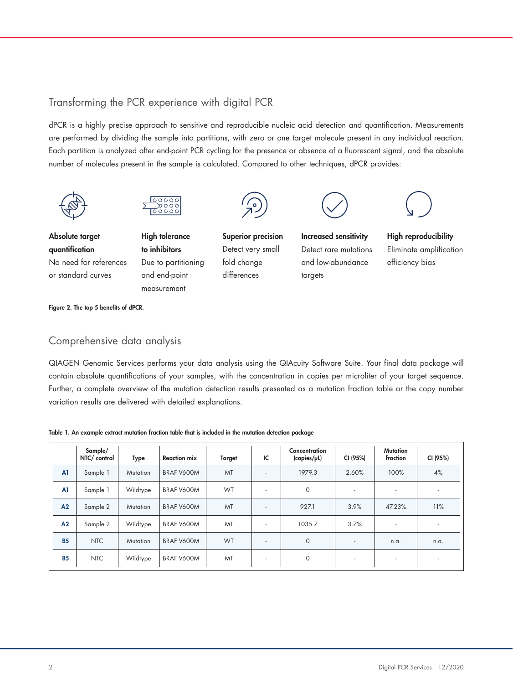### Transforming the PCR experience with digital PCR

dPCR is a highly precise approach to sensitive and reproducible nucleic acid detection and quantification. Measurements are performed by dividing the sample into partitions, with zero or one target molecule present in any individual reaction. Each partition is analyzed after end-point PCR cycling for the presence or absence of a fluorescent signal, and the absolute number of molecules present in the sample is calculated. Compared to other techniques, dPCR provides:





Absolute target quantification No need for references or standard curves

**High tolerance** to inhibitors Due to partitioning and end-point measurement



Superior precision Detect very small fold change differences



Increased sensitivity Detect rare mutations and low-abundance

targets



High reproducibility Eliminate amplication efficiency bias

Figure 2. The top 5 benefits of dPCR.

#### Comprehensive data analysis

QIAGEN Genomic Services performs your data analysis using the QIAcuity Software Suite. Your final data package will contain absolute quantifications of your samples, with the concentration in copies per microliter of your target sequence. Further, a complete overview of the mutation detection results presented as a mutation fraction table or the copy number variation results are delivered with detailed explanations.

#### Table 1. An example extract mutation fraction table that is included in the mutation detection package

|           | Sample/<br>NTC/ control | <b>Type</b>     | <b>Reaction mix</b> | <b>Target</b> | IC                       | Concentration<br>$\langle \text{copies}/\mu \mathsf{L} \rangle$ | CI (95%)                 | <b>Mutation</b><br>fraction | CI (95%)                 |
|-----------|-------------------------|-----------------|---------------------|---------------|--------------------------|-----------------------------------------------------------------|--------------------------|-----------------------------|--------------------------|
| A1        | Sample 1                | <b>Mutation</b> | BRAF V600M          | MT            | ٠                        | 1979.3                                                          | 2.60%                    | 100%                        | 4%                       |
| A1        | Sample 1                | Wildtype        | BRAF V600M          | WT            | ٠                        | $\circ$                                                         | $\overline{\phantom{a}}$ | $\overline{\phantom{a}}$    | $\overline{\phantom{a}}$ |
| A2        | Sample 2                | Mutation        | BRAF V600M          | MT            | ٠                        | 927.1                                                           | 3.9%                     | 47.23%                      | 11%                      |
| A2        | Sample 2                | Wildtype        | BRAF V600M          | MT            | ٠                        | 1035.7                                                          | 3.7%                     | $\overline{\phantom{a}}$    | $\overline{\phantom{a}}$ |
| <b>B5</b> | <b>NTC</b>              | Mutation        | BRAF V600M          | WT            | $\overline{\phantom{a}}$ | $\circ$                                                         | $\overline{a}$           | n.a.                        | n.a.                     |
| <b>B5</b> | <b>NTC</b>              | Wildtype        | BRAF V600M          | MT            | $\overline{\phantom{a}}$ | $\circ$                                                         | $\overline{\phantom{a}}$ | $\overline{\phantom{a}}$    | $\overline{\phantom{a}}$ |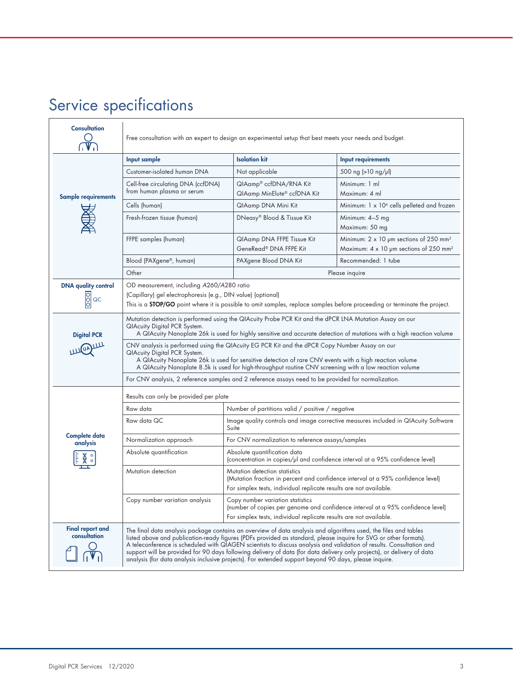# Service specifications

| <b>Consultation</b>                     | Free consultation with an expert to design an experimental setup that best meets your needs and budget.                                                                                                                                                                                                                                                                                                                                                                                                                                                                                        |                                                                                                                                                                                           |                                                                                                                        |  |  |  |  |
|-----------------------------------------|------------------------------------------------------------------------------------------------------------------------------------------------------------------------------------------------------------------------------------------------------------------------------------------------------------------------------------------------------------------------------------------------------------------------------------------------------------------------------------------------------------------------------------------------------------------------------------------------|-------------------------------------------------------------------------------------------------------------------------------------------------------------------------------------------|------------------------------------------------------------------------------------------------------------------------|--|--|--|--|
|                                         | Input sample                                                                                                                                                                                                                                                                                                                                                                                                                                                                                                                                                                                   | <b>Isolation kit</b>                                                                                                                                                                      | Input requirements                                                                                                     |  |  |  |  |
|                                         | Customer-isolated human DNA                                                                                                                                                                                                                                                                                                                                                                                                                                                                                                                                                                    | Not applicable                                                                                                                                                                            | 500 ng (>10 ng/µl)                                                                                                     |  |  |  |  |
| <b>Sample requirements</b>              | Cell-free circulating DNA (ccfDNA)<br>from human plasma or serum                                                                                                                                                                                                                                                                                                                                                                                                                                                                                                                               | QIAamp® ccfDNA/RNA Kit<br>QIAamp MinElute® ccfDNA Kit                                                                                                                                     | Minimum: 1 ml<br>Maximum: 4 ml                                                                                         |  |  |  |  |
|                                         | Cells (human)                                                                                                                                                                                                                                                                                                                                                                                                                                                                                                                                                                                  | QIAamp DNA Mini Kit                                                                                                                                                                       | Minimum: 1 x 10 <sup>6</sup> cells pelleted and frozen                                                                 |  |  |  |  |
|                                         | Fresh-frozen tissue (human)                                                                                                                                                                                                                                                                                                                                                                                                                                                                                                                                                                    | DNeasy® Blood & Tissue Kit                                                                                                                                                                | Minimum: 4-5 mg<br>Maximum: 50 mg                                                                                      |  |  |  |  |
|                                         | FFPE samples (human)                                                                                                                                                                                                                                                                                                                                                                                                                                                                                                                                                                           | QIAamp DNA FFPE Tissue Kit<br>GeneRead® DNA FFPE Kit                                                                                                                                      | Minimum: $2 \times 10$ µm sections of 250 mm <sup>2</sup><br>Maximum: $4 \times 10$ µm sections of 250 mm <sup>2</sup> |  |  |  |  |
|                                         | Blood (PAXgene®, human)                                                                                                                                                                                                                                                                                                                                                                                                                                                                                                                                                                        | PAXgene Blood DNA Kit                                                                                                                                                                     | Recommended: 1 tube                                                                                                    |  |  |  |  |
|                                         | Other                                                                                                                                                                                                                                                                                                                                                                                                                                                                                                                                                                                          | Please inquire                                                                                                                                                                            |                                                                                                                        |  |  |  |  |
| <b>DNA quality control</b><br>OOO<br>QC | OD measurement, including A260/A280 ratio<br>(Capillary) gel electrophoresis (e.g., DIN value) (optional)<br>This is a <b>STOP/GO</b> point where it is possible to omit samples, replace samples before proceeding or terminate the project.                                                                                                                                                                                                                                                                                                                                                  |                                                                                                                                                                                           |                                                                                                                        |  |  |  |  |
| <b>Digital PCR</b>                      | Mutation detection is performed using the QIAcuity Probe PCR Kit and the dPCR LNA Mutation Assay on our<br><b>QIAcuity Digital PCR System.</b><br>A QIAcuity Nanoplate 26k is used for highly sensitive and accurate detection of mutations with a high reaction volume                                                                                                                                                                                                                                                                                                                        |                                                                                                                                                                                           |                                                                                                                        |  |  |  |  |
|                                         | CNV analysis is performed using the QIAcuity EG PCR Kit and the dPCR Copy Number Assay on our<br><b>QIAcuity Digital PCR System.</b><br>A QIAcuity Nanoplate 26k is used for sensitive detection of rare CNV events with a high reaction volume<br>A QIAcuity Nanoplate 8.5k is used for high-throughput routine CNV screening with a low reaction volume                                                                                                                                                                                                                                      |                                                                                                                                                                                           |                                                                                                                        |  |  |  |  |
|                                         | For CNV analysis, 2 reference samples and 2 reference assays need to be provided for normalization.                                                                                                                                                                                                                                                                                                                                                                                                                                                                                            |                                                                                                                                                                                           |                                                                                                                        |  |  |  |  |
|                                         | Results can only be provided per plate                                                                                                                                                                                                                                                                                                                                                                                                                                                                                                                                                         |                                                                                                                                                                                           |                                                                                                                        |  |  |  |  |
|                                         | Raw data                                                                                                                                                                                                                                                                                                                                                                                                                                                                                                                                                                                       | Number of partitions valid / positive / negative                                                                                                                                          |                                                                                                                        |  |  |  |  |
|                                         | Raw data QC                                                                                                                                                                                                                                                                                                                                                                                                                                                                                                                                                                                    | Image quality controls and image corrective measures included in QIAcuity Software<br>Suite                                                                                               |                                                                                                                        |  |  |  |  |
| Complete data<br>analysis               | Normalization approach                                                                                                                                                                                                                                                                                                                                                                                                                                                                                                                                                                         | For CNV normalization to reference assays/samples                                                                                                                                         |                                                                                                                        |  |  |  |  |
|                                         | Absolute quantification<br>Absolute quantification data<br>(concentration in copies/µl and confidence interval at a 95% confidence level)                                                                                                                                                                                                                                                                                                                                                                                                                                                      |                                                                                                                                                                                           |                                                                                                                        |  |  |  |  |
|                                         | Mutation detection<br>Mutation detection statistics<br>(Mutation fraction in percent and confidence interval at a 95% confidence level)<br>For simplex tests, individual replicate results are not available.                                                                                                                                                                                                                                                                                                                                                                                  |                                                                                                                                                                                           |                                                                                                                        |  |  |  |  |
|                                         | Copy number variation analysis                                                                                                                                                                                                                                                                                                                                                                                                                                                                                                                                                                 | Copy number variation statistics<br>(number of copies per genome and confidence interval at a 95% confidence level)<br>For simplex tests, individual replicate results are not available. |                                                                                                                        |  |  |  |  |
| <b>Final report and</b><br>consultation | The final data analysis package contains an overview of data analysis and algorithms used, the files and tables<br>listed above and publication-ready figures (PDFs provided as standard, please inquire for SVG or other formats).<br>A teleconference is scheduled with QIAGEN scientists to discuss analysis and validation of results. Consultation and<br>support will be provided for 90 days following delivery of data (for data delivery only projects), or delivery of data<br>analysis (for data analysis inclusive projects). For extended support beyond 90 days, please inquire. |                                                                                                                                                                                           |                                                                                                                        |  |  |  |  |